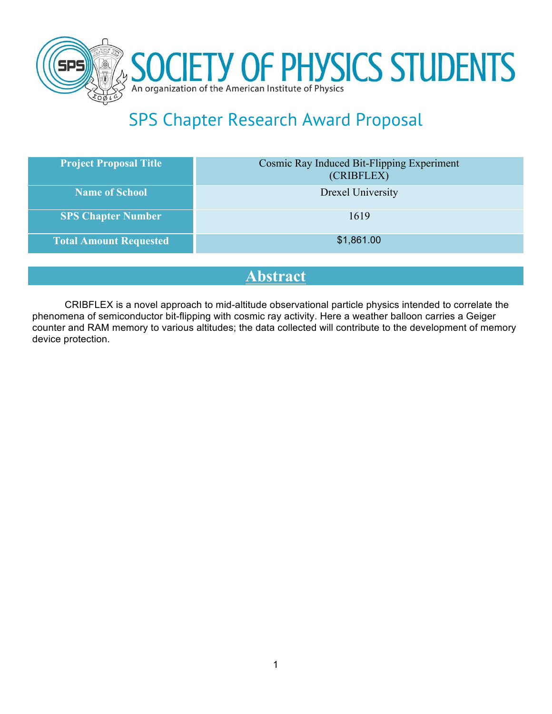



# SPS Chapter Research Award Proposal

| <b>Project Proposal Title</b> | Cosmic Ray Induced Bit-Flipping Experiment<br>(CRIBFLEX) |
|-------------------------------|----------------------------------------------------------|
| <b>Name of School</b>         | Drexel University                                        |
| <b>SPS Chapter Number</b>     | 1619                                                     |
| <b>Total Amount Requested</b> | \$1,861.00                                               |

## **Abstract**

CRIBFLEX is a novel approach to mid-altitude observational particle physics intended to correlate the phenomena of semiconductor bit-flipping with cosmic ray activity. Here a weather balloon carries a Geiger counter and RAM memory to various altitudes; the data collected will contribute to the development of memory device protection.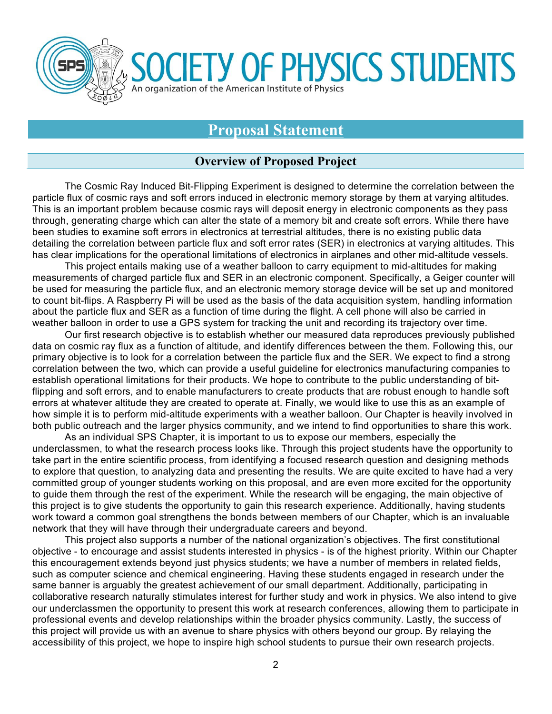

**Proposal Statement**

**IETY OF PHYSICS STUDENTS** 

#### **Overview of Proposed Project**

The Cosmic Ray Induced Bit-Flipping Experiment is designed to determine the correlation between the particle flux of cosmic rays and soft errors induced in electronic memory storage by them at varying altitudes. This is an important problem because cosmic rays will deposit energy in electronic components as they pass through, generating charge which can alter the state of a memory bit and create soft errors. While there have been studies to examine soft errors in electronics at terrestrial altitudes, there is no existing public data detailing the correlation between particle flux and soft error rates (SER) in electronics at varying altitudes. This has clear implications for the operational limitations of electronics in airplanes and other mid-altitude vessels.

This project entails making use of a weather balloon to carry equipment to mid-altitudes for making measurements of charged particle flux and SER in an electronic component. Specifically, a Geiger counter will be used for measuring the particle flux, and an electronic memory storage device will be set up and monitored to count bit-flips. A Raspberry Pi will be used as the basis of the data acquisition system, handling information about the particle flux and SER as a function of time during the flight. A cell phone will also be carried in weather balloon in order to use a GPS system for tracking the unit and recording its trajectory over time.

Our first research objective is to establish whether our measured data reproduces previously published data on cosmic ray flux as a function of altitude, and identify differences between the them. Following this, our primary objective is to look for a correlation between the particle flux and the SER. We expect to find a strong correlation between the two, which can provide a useful guideline for electronics manufacturing companies to establish operational limitations for their products. We hope to contribute to the public understanding of bitflipping and soft errors, and to enable manufacturers to create products that are robust enough to handle soft errors at whatever altitude they are created to operate at. Finally, we would like to use this as an example of how simple it is to perform mid-altitude experiments with a weather balloon. Our Chapter is heavily involved in both public outreach and the larger physics community, and we intend to find opportunities to share this work.

As an individual SPS Chapter, it is important to us to expose our members, especially the underclassmen, to what the research process looks like. Through this project students have the opportunity to take part in the entire scientific process, from identifying a focused research question and designing methods to explore that question, to analyzing data and presenting the results. We are quite excited to have had a very committed group of younger students working on this proposal, and are even more excited for the opportunity to guide them through the rest of the experiment. While the research will be engaging, the main objective of this project is to give students the opportunity to gain this research experience. Additionally, having students work toward a common goal strengthens the bonds between members of our Chapter, which is an invaluable network that they will have through their undergraduate careers and beyond.

This project also supports a number of the national organization's objectives. The first constitutional objective - to encourage and assist students interested in physics - is of the highest priority. Within our Chapter this encouragement extends beyond just physics students; we have a number of members in related fields, such as computer science and chemical engineering. Having these students engaged in research under the same banner is arguably the greatest achievement of our small department. Additionally, participating in collaborative research naturally stimulates interest for further study and work in physics. We also intend to give our underclassmen the opportunity to present this work at research conferences, allowing them to participate in professional events and develop relationships within the broader physics community. Lastly, the success of this project will provide us with an avenue to share physics with others beyond our group. By relaying the accessibility of this project, we hope to inspire high school students to pursue their own research projects.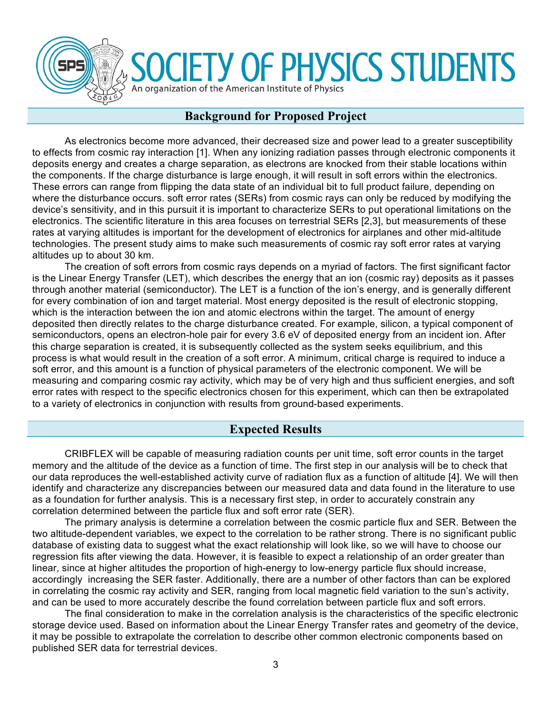

# **OCIETY OF PHYSICS STUDENTS**

#### An organization of the American Institute of Physics

#### **Background for Proposed Project**

As electronics become more advanced, their decreased size and power lead to a greater susceptibility to effects from cosmic ray interaction [1]. When any ionizing radiation passes through electronic components it deposits energy and creates a charge separation, as electrons are knocked from their stable locations within the components. If the charge disturbance is large enough, it will result in soft errors within the electronics. These errors can range from flipping the data state of an individual bit to full product failure, depending on where the disturbance occurs. soft error rates (SERs) from cosmic rays can only be reduced by modifying the device's sensitivity, and in this pursuit it is important to characterize SERs to put operational limitations on the electronics. The scientific literature in this area focuses on terrestrial SERs [2,3], but measurements of these rates at varying altitudes is important for the development of electronics for airplanes and other mid-altitude technologies. The present study aims to make such measurements of cosmic ray soft error rates at varying altitudes up to about 30 km.

The creation of soft errors from cosmic rays depends on a myriad of factors. The first significant factor is the Linear Energy Transfer (LET), which describes the energy that an ion (cosmic ray) deposits as it passes through another material (semiconductor). The LET is a function of the ion's energy, and is generally different for every combination of ion and target material. Most energy deposited is the result of electronic stopping, which is the interaction between the ion and atomic electrons within the target. The amount of energy deposited then directly relates to the charge disturbance created. For example, silicon, a typical component of semiconductors, opens an electron-hole pair for every 3.6 eV of deposited energy from an incident ion. After this charge separation is created, it is subsequently collected as the system seeks equilibrium, and this process is what would result in the creation of a soft error. A minimum, critical charge is required to induce a soft error, and this amount is a function of physical parameters of the electronic component. We will be measuring and comparing cosmic ray activity, which may be of very high and thus sufficient energies, and soft error rates with respect to the specific electronics chosen for this experiment, which can then be extrapolated to a variety of electronics in conjunction with results from ground-based experiments.

#### **Expected Results**

CRIBFLEX will be capable of measuring radiation counts per unit time, soft error counts in the target memory and the altitude of the device as a function of time. The first step in our analysis will be to check that our data reproduces the well-established activity curve of radiation flux as a function of altitude [4]. We will then identify and characterize any discrepancies between our measured data and data found in the literature to use as a foundation for further analysis. This is a necessary first step, in order to accurately constrain any correlation determined between the particle flux and soft error rate (SER).

The primary analysis is determine a correlation between the cosmic particle flux and SER. Between the two altitude-dependent variables, we expect to the correlation to be rather strong. There is no significant public database of existing data to suggest what the exact relationship will look like, so we will have to choose our regression fits after viewing the data. However, it is feasible to expect a relationship of an order greater than linear, since at higher altitudes the proportion of high-energy to low-energy particle flux should increase, accordingly increasing the SER faster. Additionally, there are a number of other factors than can be explored in correlating the cosmic ray activity and SER, ranging from local magnetic field variation to the sun's activity, and can be used to more accurately describe the found correlation between particle flux and soft errors.

The final consideration to make in the correlation analysis is the characteristics of the specific electronic storage device used. Based on information about the Linear Energy Transfer rates and geometry of the device, it may be possible to extrapolate the correlation to describe other common electronic components based on published SER data for terrestrial devices.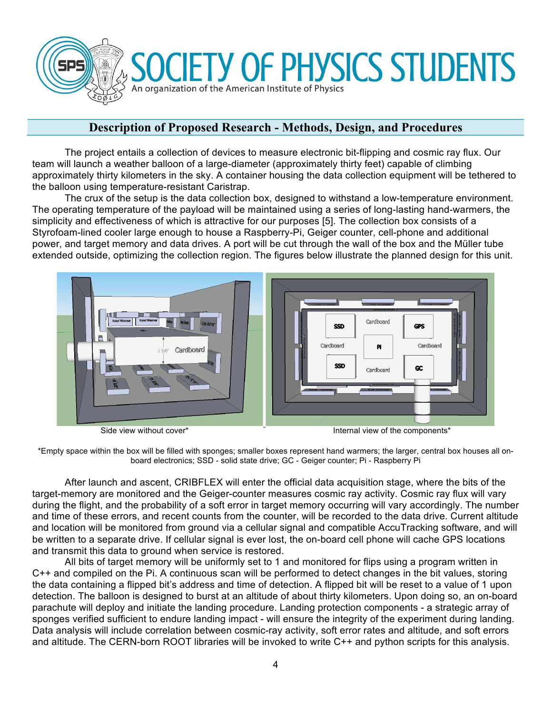

#### **Description of Proposed Research - Methods, Design, and Procedures**

The project entails a collection of devices to measure electronic bit-flipping and cosmic ray flux. Our team will launch a weather balloon of a large-diameter (approximately thirty feet) capable of climbing approximately thirty kilometers in the sky. A container housing the data collection equipment will be tethered to the balloon using temperature-resistant Caristrap.

 The crux of the setup is the data collection box, designed to withstand a low-temperature environment. The operating temperature of the payload will be maintained using a series of long-lasting hand-warmers, the simplicity and effectiveness of which is attractive for our purposes [5]. The collection box consists of a Styrofoam-lined cooler large enough to house a Raspberry-Pi, Geiger counter, cell-phone and additional power, and target memory and data drives. A port will be cut through the wall of the box and the Müller tube extended outside, optimizing the collection region. The figures below illustrate the planned design for this unit.



Side view without cover\* The Components internal view of the components\*

\*Empty space within the box will be filled with sponges; smaller boxes represent hand warmers; the larger, central box houses all onboard electronics; SSD - solid state drive; GC - Geiger counter; Pi - Raspberry Pi

 After launch and ascent, CRIBFLEX will enter the official data acquisition stage, where the bits of the target-memory are monitored and the Geiger-counter measures cosmic ray activity. Cosmic ray flux will vary during the flight, and the probability of a soft error in target memory occurring will vary accordingly. The number and time of these errors, and recent counts from the counter, will be recorded to the data drive. Current altitude and location will be monitored from ground via a cellular signal and compatible AccuTracking software, and will be written to a separate drive. If cellular signal is ever lost, the on-board cell phone will cache GPS locations and transmit this data to ground when service is restored.

 All bits of target memory will be uniformly set to 1 and monitored for flips using a program written in C++ and compiled on the Pi. A continuous scan will be performed to detect changes in the bit values, storing the data containing a flipped bit's address and time of detection. A flipped bit will be reset to a value of 1 upon detection. The balloon is designed to burst at an altitude of about thirty kilometers. Upon doing so, an on-board parachute will deploy and initiate the landing procedure. Landing protection components - a strategic array of sponges verified sufficient to endure landing impact - will ensure the integrity of the experiment during landing. Data analysis will include correlation between cosmic-ray activity, soft error rates and altitude, and soft errors and altitude. The CERN-born ROOT libraries will be invoked to write C++ and python scripts for this analysis.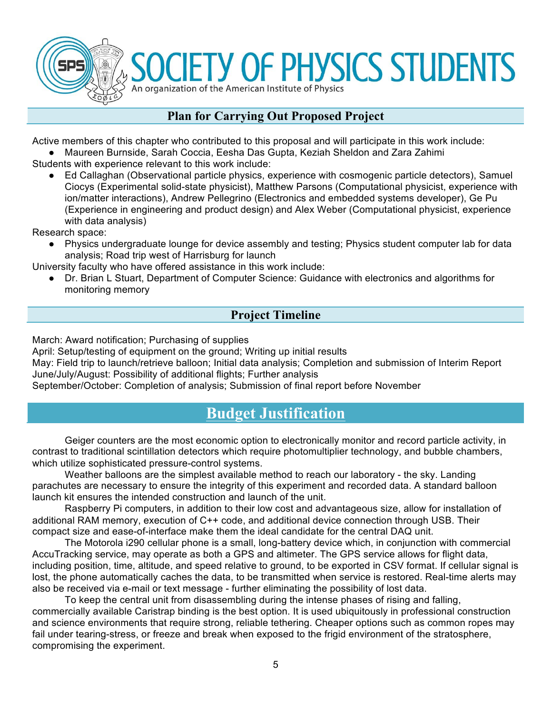

**SOCIETY OF PHYSICS STUDENTS** An organization of the American Institute of Physics

#### **Plan for Carrying Out Proposed Project**

Active members of this chapter who contributed to this proposal and will participate in this work include:

● Maureen Burnside, Sarah Coccia, Eesha Das Gupta, Keziah Sheldon and Zara Zahimi

Students with experience relevant to this work include:

● Ed Callaghan (Observational particle physics, experience with cosmogenic particle detectors), Samuel Ciocys (Experimental solid-state physicist), Matthew Parsons (Computational physicist, experience with ion/matter interactions), Andrew Pellegrino (Electronics and embedded systems developer), Ge Pu (Experience in engineering and product design) and Alex Weber (Computational physicist, experience with data analysis)

Research space:

● Physics undergraduate lounge for device assembly and testing; Physics student computer lab for data analysis; Road trip west of Harrisburg for launch

University faculty who have offered assistance in this work include:

Dr. Brian L Stuart, Department of Computer Science: Guidance with electronics and algorithms for monitoring memory

#### **Project Timeline**

March: Award notification; Purchasing of supplies

April: Setup/testing of equipment on the ground; Writing up initial results

May: Field trip to launch/retrieve balloon; Initial data analysis; Completion and submission of Interim Report June/July/August: Possibility of additional flights; Further analysis

September/October: Completion of analysis; Submission of final report before November

### **Budget Justification**

Geiger counters are the most economic option to electronically monitor and record particle activity, in contrast to traditional scintillation detectors which require photomultiplier technology, and bubble chambers, which utilize sophisticated pressure-control systems.

Weather balloons are the simplest available method to reach our laboratory - the sky. Landing parachutes are necessary to ensure the integrity of this experiment and recorded data. A standard balloon launch kit ensures the intended construction and launch of the unit.

Raspberry Pi computers, in addition to their low cost and advantageous size, allow for installation of additional RAM memory, execution of C++ code, and additional device connection through USB. Their compact size and ease-of-interface make them the ideal candidate for the central DAQ unit.

The Motorola i290 cellular phone is a small, long-battery device which, in conjunction with commercial AccuTracking service, may operate as both a GPS and altimeter. The GPS service allows for flight data, including position, time, altitude, and speed relative to ground, to be exported in CSV format. If cellular signal is lost, the phone automatically caches the data, to be transmitted when service is restored. Real-time alerts may also be received via e-mail or text message - further eliminating the possibility of lost data.

To keep the central unit from disassembling during the intense phases of rising and falling, commercially available Caristrap binding is the best option. It is used ubiquitously in professional construction and science environments that require strong, reliable tethering. Cheaper options such as common ropes may fail under tearing-stress, or freeze and break when exposed to the frigid environment of the stratosphere, compromising the experiment.